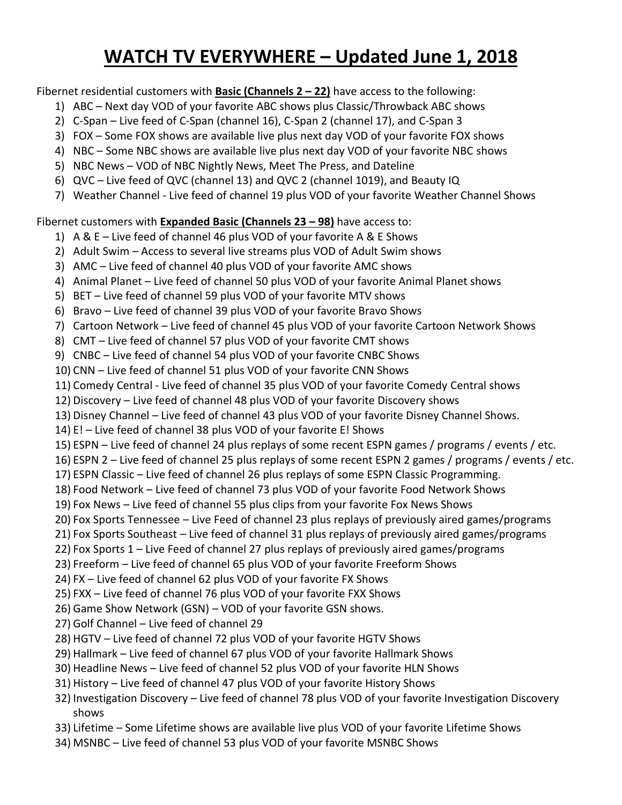## **WATCH TV EVERYWHERE – Updated June 1, 2018**

Fibernet residential customers with **Basic (Channels 2 – 22)** have access to the following:

- 1) ABC Next day VOD of your favorite ABC shows plus Classic/Throwback ABC shows
- 2) C-Span Live feed of C-Span (channel 16), C-Span 2 (channel 17), and C-Span 3
- 3) FOX Some FOX shows are available live plus next day VOD of your favorite FOX shows
- 4) NBC Some NBC shows are available live plus next day VOD of your favorite NBC shows
- 5) NBC News VOD of NBC Nightly News, Meet The Press, and Dateline
- 6) QVC Live feed of QVC (channel 13) and QVC 2 (channel 1019), and Beauty IQ
- 7) Weather Channel Live feed of channel 19 plus VOD of your favorite Weather Channel Shows

Fibernet customers with **Expanded Basic (Channels 23 – 98)** have access to:

- 1) A & E Live feed of channel 46 plus VOD of your favorite A & E Shows
- 2) Adult Swim Access to several live streams plus VOD of Adult Swim shows
- 3) AMC Live feed of channel 40 plus VOD of your favorite AMC shows
- 4) Animal Planet Live feed of channel 50 plus VOD of your favorite Animal Planet shows
- 5) BET Live feed of channel 59 plus VOD of your favorite MTV shows
- 6) Bravo Live feed of channel 39 plus VOD of your favorite Bravo Shows
- 7) Cartoon Network Live feed of channel 45 plus VOD of your favorite Cartoon Network Shows
- 8) CMT Live feed of channel 57 plus VOD of your favorite CMT shows
- 9) CNBC Live feed of channel 54 plus VOD of your favorite CNBC Shows
- 10) CNN Live feed of channel 51 plus VOD of your favorite CNN Shows
- 11) Comedy Central Live feed of channel 35 plus VOD of your favorite Comedy Central shows
- 12) Discovery Live feed of channel 48 plus VOD of your favorite Discovery shows
- 13) Disney Channel Live feed of channel 43 plus VOD of your favorite Disney Channel Shows.
- 14) E! Live feed of channel 38 plus VOD of your favorite E! Shows
- 15) ESPN Live feed of channel 24 plus replays of some recent ESPN games / programs / events / etc.
- 16) ESPN 2 Live feed of channel 25 plus replays of some recent ESPN 2 games / programs / events / etc.
- 17) ESPN Classic Live feed of channel 26 plus replays of some ESPN Classic Programming.
- 18) Food Network Live feed of channel 73 plus VOD of your favorite Food Network Shows
- 19) Fox News Live feed of channel 55 plus clips from your favorite Fox News Shows
- 20) Fox Sports Tennessee Live Feed of channel 23 plus replays of previously aired games/programs
- 21) Fox Sports Southeast Live feed of channel 31 plus replays of previously aired games/programs
- 22) Fox Sports 1 Live Feed of channel 27 plus replays of previously aired games/programs
- 23) Freeform Live feed of channel 65 plus VOD of your favorite Freeform Shows
- 24) FX Live feed of channel 62 plus VOD of your favorite FX Shows
- 25) FXX Live feed of channel 76 plus VOD of your favorite FXX Shows
- 26) Game Show Network (GSN) VOD of your favorite GSN shows.
- 27) Golf Channel Live feed of channel 29
- 28) HGTV Live feed of channel 72 plus VOD of your favorite HGTV Shows
- 29) Hallmark Live feed of channel 67 plus VOD of your favorite Hallmark Shows
- 30) Headline News Live feed of channel 52 plus VOD of your favorite HLN Shows
- 31) History Live feed of channel 47 plus VOD of your favorite History Shows
- 32) Investigation Discovery Live feed of channel 78 plus VOD of your favorite Investigation Discovery shows
- 33) Lifetime Some Lifetime shows are available live plus VOD of your favorite Lifetime Shows
- 34) MSNBC Live feed of channel 53 plus VOD of your favorite MSNBC Shows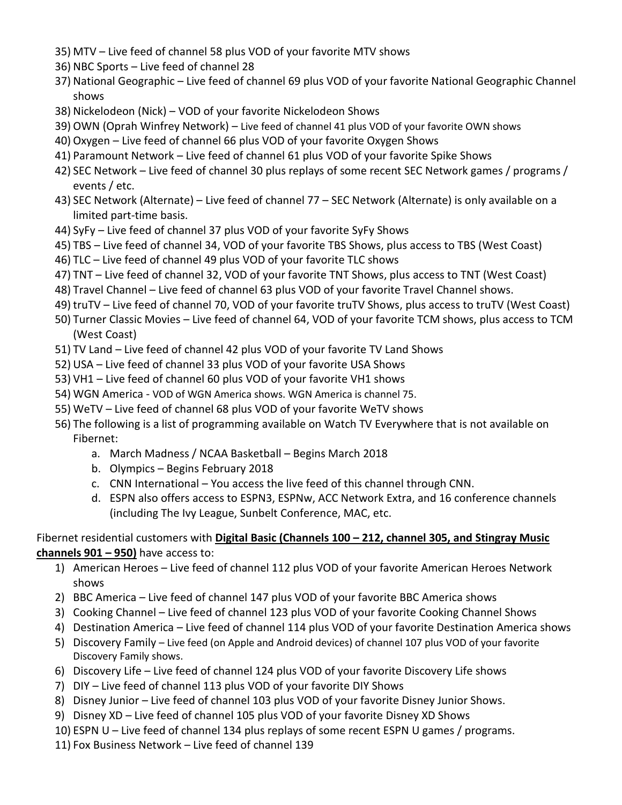- 35) MTV Live feed of channel 58 plus VOD of your favorite MTV shows
- 36) NBC Sports Live feed of channel 28
- 37) National Geographic Live feed of channel 69 plus VOD of your favorite National Geographic Channel shows
- 38) Nickelodeon (Nick) VOD of your favorite Nickelodeon Shows
- 39) OWN (Oprah Winfrey Network) Live feed of channel 41 plus VOD of your favorite OWN shows
- 40) Oxygen Live feed of channel 66 plus VOD of your favorite Oxygen Shows
- 41) Paramount Network Live feed of channel 61 plus VOD of your favorite Spike Shows
- 42) SEC Network Live feed of channel 30 plus replays of some recent SEC Network games / programs / events / etc.
- 43) SEC Network (Alternate) Live feed of channel 77 SEC Network (Alternate) is only available on a limited part-time basis.
- 44) SyFy Live feed of channel 37 plus VOD of your favorite SyFy Shows
- 45) TBS Live feed of channel 34, VOD of your favorite TBS Shows, plus access to TBS (West Coast)
- 46) TLC Live feed of channel 49 plus VOD of your favorite TLC shows
- 47) TNT Live feed of channel 32, VOD of your favorite TNT Shows, plus access to TNT (West Coast)
- 48) Travel Channel Live feed of channel 63 plus VOD of your favorite Travel Channel shows.
- 49) truTV Live feed of channel 70, VOD of your favorite truTV Shows, plus access to truTV (West Coast)
- 50) Turner Classic Movies Live feed of channel 64, VOD of your favorite TCM shows, plus access to TCM (West Coast)
- 51) TV Land Live feed of channel 42 plus VOD of your favorite TV Land Shows
- 52) USA Live feed of channel 33 plus VOD of your favorite USA Shows
- 53) VH1 Live feed of channel 60 plus VOD of your favorite VH1 shows
- 54) WGN America VOD of WGN America shows. WGN America is channel 75.
- 55) WeTV Live feed of channel 68 plus VOD of your favorite WeTV shows
- 56) The following is a list of programming available on Watch TV Everywhere that is not available on Fibernet:
	- a. March Madness / NCAA Basketball Begins March 2018
	- b. Olympics Begins February 2018
	- c. CNN International You access the live feed of this channel through CNN.
	- d. ESPN also offers access to ESPN3, ESPNw, ACC Network Extra, and 16 conference channels (including The Ivy League, Sunbelt Conference, MAC, etc.

## Fibernet residential customers with **Digital Basic (Channels 100 – 212, channel 305, and Stingray Music channels 901 – 950)** have access to:

- 1) American Heroes Live feed of channel 112 plus VOD of your favorite American Heroes Network shows
- 2) BBC America Live feed of channel 147 plus VOD of your favorite BBC America shows
- 3) Cooking Channel Live feed of channel 123 plus VOD of your favorite Cooking Channel Shows
- 4) Destination America Live feed of channel 114 plus VOD of your favorite Destination America shows
- 5) Discovery Family Live feed (on Apple and Android devices) of channel 107 plus VOD of your favorite Discovery Family shows.
- 6) Discovery Life Live feed of channel 124 plus VOD of your favorite Discovery Life shows
- 7) DIY Live feed of channel 113 plus VOD of your favorite DIY Shows
- 8) Disney Junior Live feed of channel 103 plus VOD of your favorite Disney Junior Shows.
- 9) Disney XD Live feed of channel 105 plus VOD of your favorite Disney XD Shows
- 10) ESPN U Live feed of channel 134 plus replays of some recent ESPN U games / programs.
- 11) Fox Business Network Live feed of channel 139